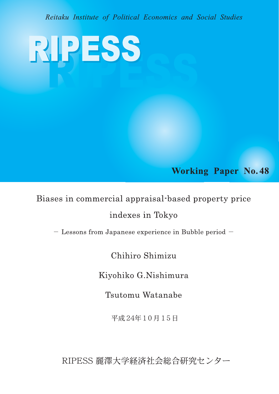Reitaku Institute of Political Economics and Social Studies

RIPESS

**Working Paper No. 48** 

Biases in commercial appraisal-based property price indexes in Tokyo

- Lessons from Japanese experience in Bubble period -

Chihiro Shimizu

Kiyohiko G.Nishimura

Tsutomu Watanabe

平成24年10月15日

RIPESS 麗澤大学経済社会総合研究センター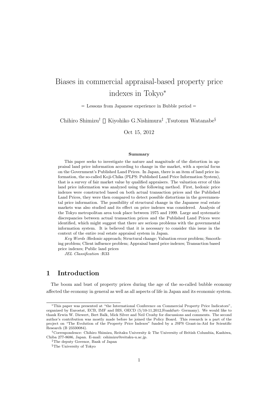# Biases in commercial appraisal-based property price indexes in Tokyo*<sup>∗</sup>*

Lessons from Japanese experience in Bubble period

Chihiro Shimizu*†* Kiyohiko G.Nishimura*‡* ,Tsutomu Watanabe*§*

Oct 15, 2012

#### **Summary**

This paper seeks to investigate the nature and magnitude of the distortion in appraisal land price information according to change in the market, with a special focus on the Government's Published Land Prices. In Japan, there is an item of land price information, the so-called Koji-Chika (PLPS: Published Land Price Information System), that is a survey of fair market value by qualified appraisers. The valuation error of this land price information was analyzed using the following method. First, hedonic price indexes were constructed based on both actual transaction prices and the Published Land Prices, they were then compared to detect possible distortions in the governmental price information. The possibility of structural change in the Japanese real estate markets was also studied and its effect on price indexes was considered. Analysis of the Tokyo metropolitan area took place between 1975 and 1999. Large and systematic discrepancies between actual transaction prices and the Published Land Prices were identified, which might suggest that there are serious problems with the governmental information system. It is believed that it is necessary to consider this issue in the context of the entire real estate appraisal system in Japan.

*Key Words* :Hedonic approach; Structural change; Valuation eroor problem; Smoothing problem; Client influence problem; Appraisal based price indexes; Transaction based price indexes; Public land prices

*JEL Classification* :R33

## **1 Introduction**

The boom and bust of property prices during the age of the so-called bubble economy affected the economy in general as well as all aspects of life in Japan and its economic system.

*<sup>∗</sup>*This paper was presented at "the International Conference on Commercial Property Price Indicators", organized by Eurostat, ECB, IMF and BIS, OECD (5/10-11,2012,Frankfurt- Germany). We would like to thank Erwin W. Diewert, Bert Balk, Mick Silver and Neil Crosby for discussions and comments. The second author's contribution was mostly made before he joined the Policy Board. This research is a part of the project on "The Evolution of the Property Price Indexes" funded by a JSPS Grant-in-Aid for Scientific Research (B 23330084).

*<sup>†</sup>*Correspondence: Chihiro Shimizu, Reitaku University & The University of British Columbia, Kashiwa, Chiba 277-8686, Japan. E-mail: cshimizu@reitaku-u.ac.jp.

*<sup>‡</sup>*The deputy Govenor, Bank of Japan

*<sup>§</sup>*The University of Tokyo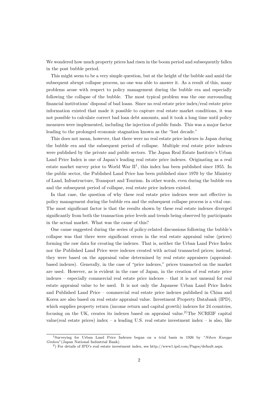We wondered how much property prices had risen in the boom period and subsequently fallen in the post bubble period.

This might seem to be a very simple question, but at the height of the bubble and amid the subsequent abrupt collapse process, no one was able to answer it. As a result of this, many problems arose with respect to policy management during the bubble era and especially following the collapse of the bubble. The most typical problem was the one surrounding financial institutions' disposal of bad loans. Since no real estate price index/real estate price information existed that made it possible to capture real estate market conditions, it was not possible to calculate correct bad loan debt amounts, and it took a long time until policy measures were implemented, including the injection of public funds. This was a major factor leading to the prolonged economic stagnation known as the "lost decade."

This does not mean, however, that there were no real estate price indexes in Japan during the bubble era and the subsequent period of collapse. Multiple real estate price indexes were published by the private and public sectors. The Japan Real Estate Institute's Urban Land Price Index is one of Japan's leading real estate price indexes. Originating as a real estate market survey prior to World War  $II<sup>1</sup>$ , this index has been published since 1955. In the public sector, the Published Land Price has been published since 1970 by the Ministry of Land, Infrastructure, Transport and Tourism. In other words, even during the bubble era and the subsequent period of collapse, real estate price indexes existed.

In that case, the question of why these real estate price indexes were not effective in policy management during the bubble era and the subsequent collapse process is a vital one. The most significant factor is that the results shown by these real estate indexes diverged significantly from both the transaction price levels and trends being observed by participants in the actual market. What was the cause of this?

One cause suggested during the series of policy-related discussions following the bubble's collapse was that there were significant errors in the real estate appraisal value (prices) forming the raw data for creating the indexes. That is, neither the Urban Land Price Index nor the Published Land Price were indexes created with actual transacted prices; instead, they were based on the appraisal value determined by real estate appraisers (appraisalbased indexes). Generally, in the case of "price indexes," prices transacted on the market are used. However, as is evident in the case of Japan, in the creation of real estate price indexes – especially commercial real estate price indexes – that it is not unusual for real estate appraisal value to be used. It is not only the Japanese Urban Land Price Index and Published Land Price – commercial real estate price indexes published in China and Korea are also based on real estate appraisal value. Investment Property Databank (IPD), which supplies property return (income return and capital growth) indexes for 24 countries, focusing on the UK, creates its indexes based on appraisal value.<sup>2)</sup>The NCREIF capital value(real estate prices) index – a leading U.S. real estate investment index – is also, like

<sup>1</sup>Surveying for Urban Land Price Indexes began on a trial basis in 1926 by "*Nihon Kangyo Ginkou*"(Japan National Industrial Bank).

<sup>2</sup> ) For details of IPD's real estate investment index, see http://www1.ipd.com/Pages/default.aspx.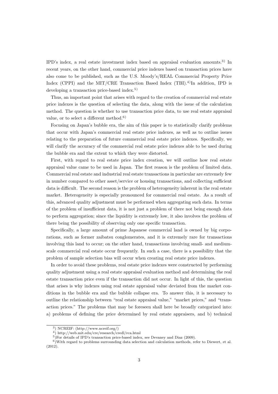IPD's index, a real estate investment index based on appraisal evaluation amounts.3) In recent years, on the other hand, commercial price indexes based on transaction prices have also come to be published, such as the U.S. Moody's/REAL Commercial Property Price Index (CPPI) and the MIT/CRE Transaction Based Index  $(TBI)^{4}$ In addition, IPD is developing a transaction price-based index.<sup>5)</sup>

Thus, an important point that arises with regard to the creation of commercial real estate price indexes is the question of selecting the data, along with the issue of the calculation method. The question is whether to use transaction price data, to use real estate appraisal value, or to select a different method.<sup>6)</sup>

Focusing on Japan's bubble era, the aim of this paper is to statistically clarify problems that occur with Japan's commercial real estate price indexes, as well as to outline issues relating to the preparation of future commercial real estate price indexes. Specifically, we will clarify the accuracy of the commercial real estate price indexes able to be used during the bubble era and the extent to which they were distorted.

First, with regard to real estate price index creation, we will outline how real estate appraisal value came to be used in Japan. The first reason is the problem of limited data. Commercial real estate and industrial real estate transactions in particular are extremely few in number compared to other asset/service or housing transactions, and collecting sufficient data is difficult. The second reason is the problem of heterogeneity inherent in the real estate market. Heterogeneity is especially pronounced for commercial real estate. As a result of this, advanced quality adjustment must be performed when aggregating such data. In terms of the problem of insufficient data, it is not just a problem of there not being enough data to perform aggregation; since the liquidity is extremely low, it also involves the problem of there being the possibility of observing only one specific transaction.

Specifically, a large amount of prime Japanese commercial land is owned by big corporations, such as former zaibatsu conglomerates, and it is extremely rare for transactions involving this land to occur; on the other hand, transactions involving small- and mediumscale commercial real estate occur frequently. In such a case, there is a possibility that the problem of sample selection bias will occur when creating real estate price indexes.

In order to avoid these problems, real estate price indexes were constructed by performing quality adjustment using a real estate appraisal evaluation method and determining the real estate transaction price even if the transaction did not occur. In light of this, the question that arises is why indexes using real estate appraisal value deviated from the market conditions in the bubble era and the bubble collapse era. To answer this, it is necessary to outline the relationship between "real estate appraisal value," "market prices," and "transaction prices." The problems that may be foreseen shall here be broadly categorized into: a) problems of defining the price determined by real estate appraisers, and b) technical

<sup>3</sup> ) NCREIF: (http://www.ncreif.org/)

<sup>4</sup> ) http://web.mit.edu/cre/research/credl/rca.html

<sup>5</sup> )For details of IPD's transaction price-based index, see Devaney and Diaz (2009).

<sup>&</sup>lt;sup>6</sup>) With regard to problems surrounding data selection and calculation methods, refer to Diewert, et al. (2012).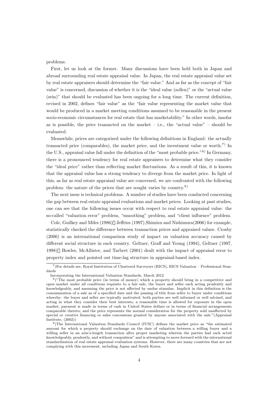problems.

First, let us look at the former. Many discussions have been held both in Japan and abroad surrounding real estate appraisal value. In Japan, the real estate appraisal value set by real estate appraisers should determine the "fair value." And as far as the concept of "fair value" is concerned, discussion of whether it is the "ideal value (sollen)" or the "actual value (sein)" that should be evaluated has been ongoing for a long time. The current definition, revised in 2002, defines "fair value" as the "fair value representing the market value that would be produced in a market meeting conditions assumed to be reasonable in the present socio-economic circumstances for real estate that has marketability." In other words, insofar as is possible, the price transacted on the market  $-$  i.e., the "actual value"  $-$  should be evaluated.

Meanwhile, prices are categorized under the following definitions in England: the actually transacted price (comparables), the market price, and the investment value or worth.<sup>7)</sup> In the U.S., appraisal value fall under the definition of the "most probable price."8) In Germany, there is a pronounced tendency for real estate appraisers to determine what they consider the "ideal price" rather than reflecting market fluctuations. As a result of this, it is known that the appraisal value has a strong tendency to diverge from the market price. In light of this, as far as real estate appraisal value are concerned, we are confronted with the following problem: the nature of the prices that are sought varies by country.9)

The next issue is technical problems. A number of studies have been conducted concerning the gap between real estate appraisal evaluations and market prices. Looking at past studies, one can see that the following issues occur with respect to real estate appraisal value: the so-called "valuation error" problem, "smoothing" problem, and "client influence" problem.

Cole, Guilkey and Miles (1986) Jeffries (1997),Shimizu and Nishimura(2006) for example, statistically checked the difference between transaction prices and appraised values. Crosby (2000) is an international comparison study of impact on valuation accuracy caused by different social structure in each country. Geltner, Graff and Young (1994), Geltner (1997, 1998) Bowles, McAllister, and Tarbert (2001) dealt with the impact of appraisal error to property index and pointed out time-lag structure in appraisal-based index.

<sup>7</sup> )For details see, Royal Institution of Chartered Surveyors (RICS), RICS Valuation – Professional Standards

Incorporating the International Valuation Standards, March 2012

<sup>&</sup>lt;sup>8</sup>)"The most probable price (in terms of money) which a property should bring in a competitive and open market under all conditions requisite to a fair sale, the buyer and seller each acting prudently and knowledgeably, and assuming the price is not affected by undue stimulus. Implicit in this definition is the consummation of a sale as of a specified date and the passing of title from seller to buyer under conditions whereby: the buyer and seller are typically motivated; both parties are well informed or well advised, and acting in what they consider their best interests; a reasonable time is allowed for exposure in the open market; payment is made in terms of cash in United States dollars or in terms of financial arrangements comparable thereto; and the price represents the normal consideration for the property sold unaffected by special or creative financing or sales concessions granted by anyone associated with the sale."(Appraisal Institute, (2002))

<sup>&</sup>lt;sup>9</sup>)The International Valuation Standards Council (IVSC) defines the market price as "the estimated amount for which a property should exchange on the date of valuation between a willing buyer and a willing seller in an arm's-length transaction after proper marketing wherein the parties had each acted knowledgeably, prudently, and without compulsion" and is attempting to move forward with the international standardization of real estate appraisal evaluation systems. However, there are many countries that are not complying with this movement, including Japan and South Korea.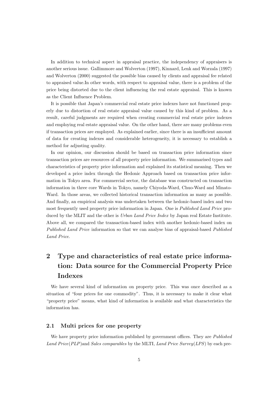In addition to technical aspect in appraisal practice, the independency of appraisers is another serious issue. Gallimmore and Wolverton (1997), Kinnard, Lenk and Worzala (1997) and Wolverton (2000) suggested the possible bias caused by clients and appraisal fee related to appraised value.In other words, with respect to appraisal value, there is a problem of the price being distorted due to the client influencing the real estate appraisal. This is known as the Client Influence Problem.

It is possible that Japan's commercial real estate price indexes have not functioned properly due to distortion of real estate appraisal value caused by this kind of problem. As a result, careful judgments are required when creating commercial real estate price indexes and employing real estate appraisal value. On the other hand, there are many problems even if transaction prices are employed. As explained earlier, since there is an insufficient amount of data for creating indexes and considerable heterogeneity, it is necessary to establish a method for adjusting quality.

In our opinion, our discussion should be based on transaction price information since transaction prices are resources of all property price information. We summarised types and characteristics of property price information and explained its statistical meaning. Then we developed a price index through the Hedonic Approach based on transaction price information in Tokyo area. For commercial sector, the database was constructed on transaction information in three core Wards in Tokyo, namely Chiyoda-Ward, Chuo-Ward and Minato-Ward. In those areas, we collected historical transaction information as many as possible. And finally, an empirical analysis was undertaken between the hedonic-based index and two most frequently used property price information in Japan. One is *Published Land Price* produced by the MLIT and the other is *Urban Land Price Index* by Japan real Estate Institute. Above all, we compared the transaction-based index with another hedonic-based index on *Published Land Price* information so that we can analyse bias of appraisal-based *Published Land Price*.

## **2 Type and characteristics of real estate price information: Data source for the Commercial Property Price Indexes**

We have several kind of information on property price. This was once described as a situation of "four prices for one commodity". Thus, it is necessary to make it clear what "property price" means, what kind of information is available and what characteristics the information has.

## **2.1 Multi prices for one property**

We have property price information published by government offices. They are *Published Land Price*(*PLP*)and *Sales comparables* by the MLTI, *Land Price Survey*(*LPS*) by each pre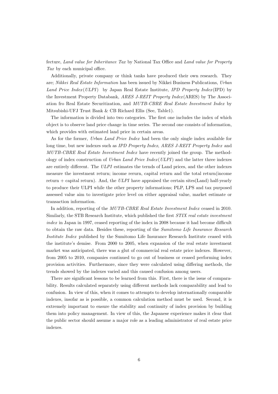fecture, *Land value for Inheritance Tax* by National Tax Office and *Land value for Property Tax* by each municipal office.

Additionally, private company or think tanks have produced their own research. They are; *Nikkei Real Estate Information* has been issued by Nikkei Business Publications, *Urban Land Price Index* (*ULPI*) by Japan Real Estate Institute, *IPD Property Index* (IPD) by the Investment Property Databank, *ARES J-REIT Property Index* (ARES) by The Association fro Real Estate Securitization, and *MUTB-CBRE Real Estate Investment Index* by Mitsubishi-UFJ Trust Bank & CB Richard Ellis (See, Table1).

The information is divided into two categories. The first one includes the index of which object is to observe land price change in time series. The second one consists of information, which provides with estimated land price in certain areas.

As for the former, *Urban Land Price Index* had been the only single index available for long time, but new indexes such as *IPD Property Index*, *ARES J-REIT Property Index* and *MUTB-CBRE Real Estate Investment Index* have recently joined the group. The methodology of index construction of *Urban Land Price Index* (*ULPI*) and the latter three indexes are entirely different. The *ULPI* estimates the ternds of Land prices, and the other indexes measure the investment return; income rerurn, capital return and the total return(income return + capital return). And, the *ULPI* have appraised the certain sites(Land) half-yearly to produce their ULPI while the other property informations; PLP, LPS and tax purposed assessed value aim to investigate price level on either appraisal value, market estimate or transaction information.

In addition, reporting of the *MUTB-CBRE Real Estate Investment Index* ceased in 2010. Similarly, the STB Research Institute, which published the first *STIX real estate investment index* in Japan in 1997, ceased reporting of the index in 2008 because it had become difficult to obtain the raw data. Besides these, reporting of the *Sumitomo Life Insurance Research Institute Index* published by the Sumitomo Life Insurance Research Institute ceased with the institute's demise. From 2000 to 2005, when expansion of the real estate investment market was anticipated, there was a glut of commercial real estate price indexes. However, from 2005 to 2010, companies continued to go out of business or ceased performing index provision activities. Furthermore, since they were calculated using differing methods, the trends showed by the indexes varied and this caused confusion among users.

There are significant lessons to be learned from this. First, there is the issue of comparability. Results calculated separately using different methods lack comparability and lead to confusion. In view of this, when it comes to attempts to develop internationally comparable indexes, insofar as is possible, a common calculation method must be used. Second, it is extremely important to ensure the stability and continuity of index provision by building them into policy management. In view of this, the Japanese experience makes it clear that the public sector should assume a major role as a leading administrator of real estate price indexes.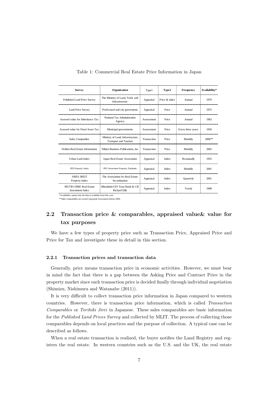| <b>Survey</b>                                           | Organisation                                                      | Type1       | Type2         | Frequency         | Availability* |
|---------------------------------------------------------|-------------------------------------------------------------------|-------------|---------------|-------------------|---------------|
| Published Land Price Survey                             | The Ministry of Land, Trafic and<br>Infrastructure                | Appraisal   | Price & index | Annual            | 1970          |
| <b>Land Price Survey</b>                                | Prefectural and city governents                                   | Appraisal   | Price         | Annual            | 1975          |
| Assesed value for Inheritance Tax                       | National Tax Administration<br>Agency                             | Assessment  | Price         | Annual            | 1963          |
| Assesed value for Fixed Asset Tax                       | Municipal governments                                             | Assessment  | Price         | Every three years | 1950          |
| Sales Comprables                                        | Ministry of Land, Infrastructure,<br><b>Transport and Tourism</b> | Transaction | Price         | Monthly           | 2006**        |
| Nekkei Real Estate Information                          | Nikkei Business Publications, Inc.                                | Transaction | Price         | Monthly           | 2002          |
| <b>Urban Land Index</b>                                 | Japan Real Estate Association                                     | Appraisal   | Index         | Bi-annually       | 1955          |
| <b>IPD</b> Property Index                               | IPD: Investment Property Databank                                 | Appraisal   | <b>Index</b>  | Monthly           | 2001          |
| <b>ARES JREIT</b><br>Property Index                     | The Association fro Real Estate<br>Securitization                 | Appraisal   | <b>Index</b>  | Quarterly         | 2001          |
| <b>MUTB-CBRE Real Estate</b><br><b>Investment Index</b> | Mitsubishi-UFJ Trust Bank & CB<br><b>Richard Ellis</b>            | Appraisal   | <b>Index</b>  | Yearly            | 1968          |

Table 1: Commercial Real Estate Price Information in Japan

\*\*Sales comparables are owned Appraisal Association before 2006.

## **2.2 Transaction price & comparables, appraised value& value for tax purposes**

We have a few types of property price such as Transaction Price, Appraised Price and Price for Tax and investigate these in detail in this section.

## **2.2.1 Transaction prices and transaction data**

Generally, price means transaction price in economic activities. However, we must bear in mind the fact that there is a gap between the Asking Price and Contract Price in the property market since each transaction price is decided finally through individual negotiation (Shimizu, Nishimura and Watanabe (2011)).

It is very difficult to collect transaction price information in Japan compared to western countries. However, there is transaction price information, which is called *Transaction Comparables* or *Torihiki Jirei* in Japanese. These sales comparables are basic information for the *Published Land Prices Survey* and collected by MLIT. The process of collecting those comparables depends on local practices and the purpose of collection. A typical case can be described as follows.

When a real estate transaction is realized, the buyer notifies the Land Registry and registers the real estate. In western countries such as the U.S. and the UK, the real estate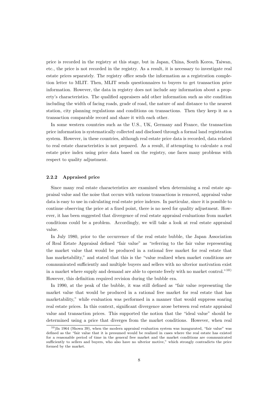price is recorded in the registry at this stage, but in Japan, China, South Korea, Taiwan, etc., the price is not recorded in the registry. As a result, it is necessary to investigate real estate prices separately. The registry office sends the information as a registration completion letter to MLIT. Then, MLIT sends questionnaires to buyers to get transaction price information. However, the data in registry does not include any information about a property's characteristics. The qualified appraisers add other information such as site condition including the width of facing roads, grade of road, the nature of and distance to the nearest station, city planning regulations and conditions on transactions. Then they keep it as a transaction comparable record and share it with each other.

In some western countries such as the U.S., UK, Germany and France, the transaction price information is systematically collected and disclosed through a formal land registration system. However, in these countries, although real estate price data is recorded, data related to real estate characteristics is not prepared. As a result, if attempting to calculate a real estate price index using price data based on the registry, one faces many problems with respect to quality adjustment.

#### **2.2.2 Appraised price**

Since many real estate characteristics are examined when determining a real estate appraisal value and the noise that occurs with various transactions is removed, appraisal value data is easy to use in calculating real estate price indexes. In particular, since it is possible to continue observing the price at a fixed point, there is no need for quality adjustment. However, it has been suggested that divergence of real estate appraisal evaluations from market conditions could be a problem. Accordingly, we will take a look at real estate appraisal value.

In July 1980, prior to the occurrence of the real estate bubble, the Japan Association of Real Estate Appraisal defined "fair value" as "referring to the fair value representing the market value that would be produced in a rational free market for real estate that has marketability," and stated that this is the "value realized when market conditions are communicated sufficiently and multiple buyers and sellers with no ulterior motivation exist in a market where supply and demand are able to operate freely with no market control."10) However, this definition required revision during the bubble era.

In 1990, at the peak of the bubble, it was still defined as "fair value representing the market value that would be produced in a rational free market for real estate that has marketability," while evaluation was performed in a manner that would suppress soaring real estate prices. In this context, significant divergence arose between real estate appraisal value and transaction prices. This supported the notion that the "ideal value" should be determined using a price that diverges from the market conditions. However, when real

 $10$ )In 1964 (Showa 39), when the modern appraisal evaluation system was inaugurated, "fair value" was defined as the "fair value that it is presumed would be realized in cases where the real estate has existed for a reasonable period of time in the general free market and the market conditions are communicated sufficiently to sellers and buyers, who also have no ulterior motive," which strongly contradicts the price formed by the market.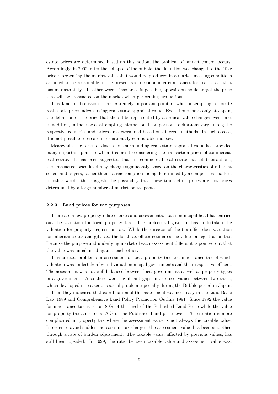estate prices are determined based on this notion, the problem of market control occurs. Accordingly, in 2002, after the collapse of the bubble, the definition was changed to the "fair price representing the market value that would be produced in a market meeting conditions assumed to be reasonable in the present socio-economic circumstances for real estate that has marketability." In other words, insofar as is possible, appraisers should target the price that will be transacted on the market when performing evaluations.

This kind of discussion offers extremely important pointers when attempting to create real estate price indexes using real estate appraisal value. Even if one looks only at Japan, the definition of the price that should be represented by appraisal value changes over time. In addition, in the case of attempting international comparisons, definitions vary among the respective countries and prices are determined based on different methods. In such a case, it is not possible to create internationally comparable indexes.

Meanwhile, the series of discussions surrounding real estate appraisal value has provided many important pointers when it comes to considering the transaction prices of commercial real estate. It has been suggested that, in commercial real estate market transactions, the transacted price level may change significantly based on the characteristics of different sellers and buyers, rather than transaction prices being determined by a competitive market. In other words, this suggests the possibility that these transaction prices are not prices determined by a large number of market participants.

#### **2.2.3 Land prices for tax purposes**

There are a few property-related taxes and assessments. Each municipal head has carried out the valuation for local property tax. The prefectural governor has undertaken the valuation for property acquisition tax. While the director of the tax office does valuation for inheritance tax and gift tax, the local tax officer estimates the value for registration tax. Because the purpose and underlying market of each assessment differs, it is pointed out that the value was unbalanced against each other.

This created problems in assessment of local property tax and inheritance tax of which valuation was undertaken by individual municipal governments and their respective officers. The assessment was not well balanced between local governments as well as property types in a government. Also there were significant gaps in assessed values between two taxes, which developed into a serious social problem especially during the Bubble period in Japan.

Then they indicated that coordination of this assessment was necessary in the Land Basic Law 1989 and Comprehensive Land Policy Promotion Outline 1991. Since 1992 the value for inheritance tax is set at 80% of the level of the Published Land Price while the value for property tax aims to be 70% of the Published Land price level. The situation is more complicated in property tax where the assessment value is not always the taxable value. In order to avoid sudden increases in tax charges, the assessment value has been smoothed through a rate of burden adjustment. The taxable value, affected by previous values, has still been lopsided. In 1999, the ratio between taxable value and assessment value was,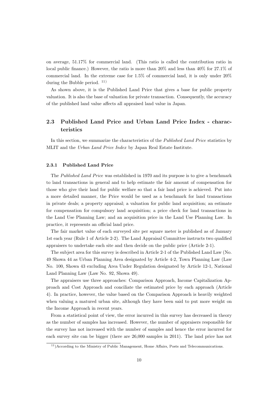on average, 51.17% for commercial land. (This ratio is called the contribution ratio in local public finance.) However, the ratio is more than 20% and less than 40% for 27.1% of commercial land. In the extreme case for 1.5% of commercial land, it is only under 20% during the Bubble period. 11)

As shown above, it is the Published Land Price that gives a base for public property valuation. It is also the base of valuation for private transaction. Consequently, the accuracy of the published land value affects all appraised land value in Japan.

## **2.3 Published Land Price and Urban Land Price Index - characteristics**

In this section, we summarize the characteristics of the *Published Land Price* statistics by MLIT and the *Urban Land Price Index* by Japan Real Estate Institute.

#### **2.3.1 Published Land Price**

The *Published Land Price* was established in 1970 and its purpose is to give a benchmark to land transactions in general and to help estimate the fair amount of compensation for those who give their land for public welfare so that a fair land price is achieved. Put into a more detailed manner, the Price would be used as a benchmark for land transactions in private deals; a property appraisal; a valuation for public land acquisition; an estimate for compensation for compulsory land acquisition; a price check for land transactions in the Land Use Planning Law; and an acquisition price in the Land Use Planning Law. In practice, it represents an official land price.

The fair market value of each surveyed site per square meter is published as of January 1st each year (Rule 1 of Article 2-2). The Land Appraisal Committee instructs two qualified appraisers to undertake each site and then decide on the public price (Article 2-1).

The subject area for this survey is described in Article 2-1 of the Published Land Law (No. 49 Showa 44 as Urban Planning Area designated by Article 4-2, Town Planning Law (Law No. 100, Showa 43 excluding Area Under Regulation designated by Article 12-1, National Land Planning Law (Law No. 92, Showa 49).

The appraisers use three approaches: Comparison Approach, Income Capitalization Approach and Cost Approach and conciliate the estimated price by each approach (Article 4). In practice, however, the value based on the Comparison Approach is heavily weighted when valuing a matured urban site, although they have been said to put more weight on the Income Approach in recent years.

From a statistical point of view, the error incurred in this survey has decreased in theory as the number of samples has increased. However, the number of appraisers responsible for the survey has not increased with the number of samples and hence the error incurred for each survey site can be bigger (there are 26,000 samples in 2011). The land price has not

<sup>&</sup>lt;sup>11</sup>)According to the Ministry of Public Management, Home Affairs, Posts and Telecommunications.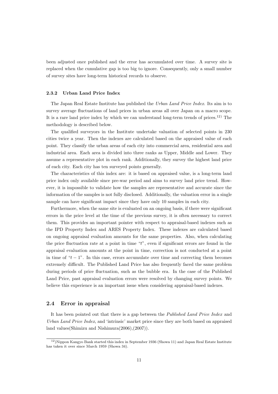been adjusted once published and the error has accumulated over time. A survey site is replaced when the cumulative gap is too big to ignore. Consequently, only a small number of survey sites have long-term historical records to observe.

### **2.3.2 Urban Land Price Index**

The Japan Real Estate Institute has published the *Urban Land Price Index*. Its aim is to survey average fluctuations of land prices in urban areas all over Japan on a macro scope. It is a rare land price index by which we can understand long-term trends of prices.<sup>12)</sup> The methodology is described below.

The qualified surveyors in the Institute undertake valuation of selected points in 230 cities twice a year. Then the indexes are calculated based on the appraised value of each point. They classify the urban areas of each city into commercial area, residential area and industrial area. Each area is divided into three ranks as Upper, Middle and Lower. They assume a representative plot in each rank. Additionally, they survey the highest land price of each city. Each city has ten surveyed points generally.

The characteristics of this index are: it is based on appraised value, is a long-term land price index only available since pre-war period and aims to survey land price trend. However, it is impossible to validate how the samples are representative and accurate since the information of the samples is not fully disclosed. Additionally, the valuation error in a single sample can have significant impact since they have only 10 samples in each city.

Furthermore, when the same site is evaluated on an ongoing basis, if there were significant errors in the price level at the time of the previous survey, it is often necessary to correct them. This provides an important pointer with respect to appraisal-based indexes such as the IPD Property Index and ARES Property Index. These indexes are calculated based on ongoing appraisal evaluation amounts for the same properties. Also, when calculating the price fluctuation rate at a point in time "*t*", even if significant errors are found in the appraisal evaluation amounts at the point in time, correction is not conducted at a point in time of " $t - 1$ ". In this case, errors accumulate over time and correcting them becomes extremely difficult. The Published Land Price has also frequently faced the same problem during periods of price fluctuation, such as the bubble era. In the case of the Published Land Price, past appraisal evaluation errors were resolved by changing survey points. We believe this experience is an important issue when considering appraisal-based indexes.

## **2.4 Error in appraisal**

It has been pointed out that there is a gap between the *Published Land Price Index* and *Urban Land Price Index*, and 'intrinsic' market price since they are both based on appraised land values(Shimizu and Nishimura(2006),(2007)).

 $12$ )Nippon Kangyo Bank started this index in September 1936 (Showa 11) and Japan Real Estate Institute has taken it over since March 1959 (Showa 34).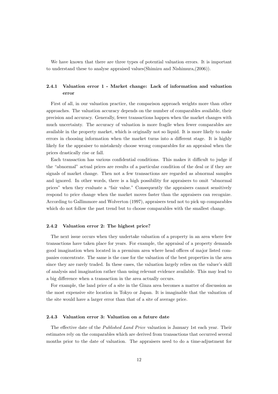We have known that there are three types of potential valuation errors. It is important to understand these to analyse appraised values(Shimizu and Nishimura,(2006)).

## **2.4.1 Valuation error 1 - Market change: Lack of information and valuation error**

First of all, in our valuation practice, the comparison approach weights more than other approaches. The valuation accuracy depends on the number of comparables available, their precision and accuracy. Generally, fewer transactions happen when the market changes with much uncertainty. The accuracy of valuation is more fragile when fewer comparables are available in the property market, which is originally not so liquid. It is more likely to make errors in choosing information when the market turns into a different stage. It is highly likely for the appraiser to mistakenly choose wrong comparables for an appraisal when the prices drastically rise or fall.

Each transaction has various confidential conditions. This makes it difficult to judge if the "abnormal" actual prices are results of a particular condition of the deal or if they are signals of market change. Then not a few transactions are regarded as abnormal samples and ignored. In other words, there is a high possibility for appraisers to omit "abnormal prices" when they evaluate a "fair value." Consequently the appraisers cannot sensitively respond to price change when the market moves faster than the appraisers can recognize. According to Gallimmore and Wolverton (1997), appraisers tend not to pick up comparables which do not follow the past trend but to choose comparables with the smallest change.

### **2.4.2 Valuation error 2: The highest price?**

The next issue occurs when they undertake valuation of a property in an area where few transactions have taken place for years. For example, the appraisal of a property demands good imagination when located in a premium area where head offices of major listed companies concentrate. The same is the case for the valuation of the best properties in the area since they are rarely traded. In these cases, the valuation largely relies on the valuer's skill of analysis and imagination rather than using relevant evidence available. This may lead to a big difference when a transaction in the area actually occurs.

For example, the land price of a site in the Ginza area becomes a matter of discussion as the most expensive site location in Tokyo or Japan. It is imaginable that the valuation of the site would have a larger error than that of a site of average price.

## **2.4.3 Valuation error 3: Valuation on a future date**

The effective date of the *Published Land Price* valuation is January 1st each year. Their estimates rely on the comparables which are derived from transactions that occurred several months prior to the date of valuation. The appraisers need to do a time-adjustment for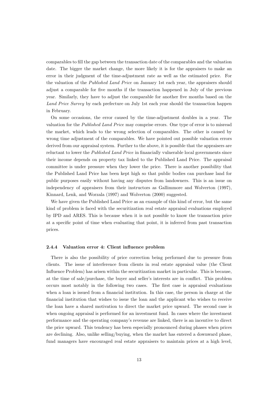comparables to fill the gap between the transaction date of the comparables and the valuation date. The bigger the market change, the more likely it is for the appraisers to make an error in their judgment of the time-adjustment rate as well as the estimated price. For the valuation of the *Published Land Price* on January 1st each year, the appraisers should adjust a comparable for five months if the transaction happened in July of the previous year. Similarly, they have to adjust the comparable for another five months based on the *Land Price Survey* by each prefecture on July 1st each year should the transaction happen in February.

On some occasions, the error caused by the time-adjustment doubles in a year. The valuation for the *Published Land Price* may comprise errors. One type of error is to misread the market, which leads to the wrong selection of comparables. The other is caused by wrong time adjustment of the comparables. We have pointed out possible valuation errors derived from our appraisal system. Further to the above, it is possible that the appraisers are reluctant to lower the *Published Land Price* in financially vulnerable local governments since their income depends on property tax linked to the Published Land Price. The appraisal committee is under pressure when they lower the price. There is another possibility that the Published Land Price has been kept high so that public bodies can purchase land for public purposes easily without having any disputes from landowners. This is an issue on independency of appraisers from their instructors as Gallimmore and Wolverton (1997), Kinnard, Lenk, and Worzala (1997) and Wolverton (2000) suggested.

We have given the Published Land Price as an example of this kind of error, but the same kind of problem is faced with the securitization real estate appraisal evaluations employed by IPD and ARES. This is because when it is not possible to know the transaction price at a specific point of time when evaluating that point, it is inferred from past transaction prices.

#### **2.4.4 Valuation error 4: Client influence problem**

There is also the possibility of price correction being performed due to pressure from clients. The issue of interference from clients in real estate appraisal value (the Client Influence Problem) has arisen within the securitization market in particular. This is because, at the time of sale/purchase, the buyer and seller's interests are in conflict. This problem occurs most notably in the following two cases. The first case is appraisal evaluations when a loan is issued from a financial institution. In this case, the person in charge at the financial institution that wishes to issue the loan and the applicant who wishes to receive the loan have a shared motivation to direct the market price upward. The second case is when ongoing appraisal is performed for an investment fund. In cases where the investment performance and the operating company's revenue are linked, there is an incentive to direct the price upward. This tendency has been especially pronounced during phases when prices are declining. Also, unlike selling/buying, when the market has entered a downward phase, fund managers have encouraged real estate appraisers to maintain prices at a high level,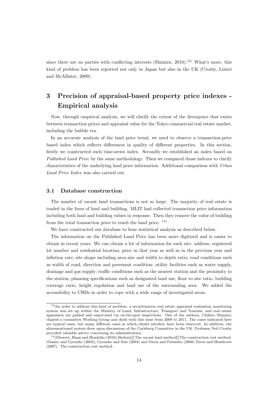since there are no parties with conflicting interests (Shimizu, 2010).<sup>13)</sup> What's more, this kind of problem has been reported not only in Japan but also in the UK (Crosby, Lizieri and McAllister, 2009).

## **3 Precision of appraisal-based property price indexes - Empirical analysis**

Now, through empirical analysis, we will clarify the extent of the divergence that exists between transaction prices and appraisal value for the Tokyo commercial real estate market, including the bubble era.

In an accurate analysis of the land price trend, we need to observe a transaction-price based index which reflects differences in quality of different properties. In this section, firstly we constructed such time-series index. Secondly we established an index based on *Published Land Price* by the same methodology. Then we compared those indexes to clarify characteristics of the underlying land price information. Additional comparison with *Urban Land Price Index* was also carried out.

## **3.1 Database construction**

The number of vacant land transactions is not so large. The majority of real estate is traded in the form of land and building. MLIT had collected transaction price information including both land and building values in response. Then they remove the value of building from the total transaction price to reach the land price.  $^{14}$ )

We have constructed our database to bear statistical analysis as described below.

The information on the Published Land Price has been more digitized and is easier to obtain in recent years. We can obtain a lot of information for each site: address, registered lot number and residential location; price in that year as well as in the previous year and inflation rate; site shape including area size and width to depth ratio; road conditions such as width of road, direction and pavement condition; utility facilities such as water supply, drainage and gas supply; traffic conditions such as the nearest station and the proximity to the station; planning specifications such as designated land use, floor to site ratio, building coverage ratio, height regulation and land use of the surrounding area. We added the accessibility to CBDs in order to cope with a wide range of investigated areas.

<sup>13</sup>)In order to address this kind of problem, a securitization real estate appraisal evaluation monitoring system was set up within the Ministry of Land, Infrastructure, Transport and Tourism, and real estate appraisers are guided and supervised via on-the-spot inspections. One of the authors, Chihiro Shimizu, chaired a committee Working Group and dealt with this issue from 2008 to 2011. The cases indicated here are typical cases, but many different cases in which clients interfere have been observed. In addition, the aforementioned system drew upon discussions of the Carlsberg Committee in the UK. Professor Neil Crosby provided valuable advice concerning its administration.

<sup>14</sup>)Diewert, Haan and Hendriks (2010) Hedonic The vacant land method The construction cost method. Glaeser and Gyourko (2003), Gyourko and Saiz (2004) and Davis and Palumbo (2008) Davis and Heathcote (2007). The construction cost method.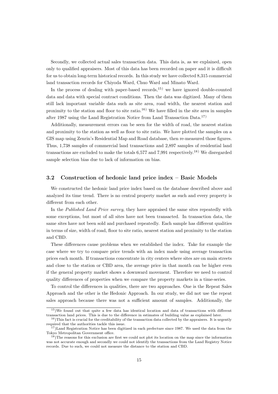Secondly, we collected actual sales transaction data. This data is, as we explained, open only to qualified appraisers. Most of this data has been recorded on paper and it is difficult for us to obtain long-term historical records. In this study we have collected 8,315 commercial land transaction records for Chiyoda Ward, Chuo Ward and Minato Ward.

In the process of dealing with paper-based records, $^{15}$ ) we have ignored double-counted data and data with special contract conditions. Then the data was digitized. Many of them still lack important variable data such as site area, road width, the nearest station and proximity to the station and floor to site ratio.16) We have filled in the site area in samples after 1987 using the Land Registration Notice from Land Transaction Data.17)

Additionally, measurement errors can be seen for the width of road, the nearest station and proximity to the station as well as floor to site ratio. We have plotted the samples on a GIS map using Zenrin's Residential Map and Road database, then re-measured those figures. Thus, 1,738 samples of commercial land transactions and 2,897 samples of residential land transactions are excluded to make the totals  $6.577$  and  $7.991$  respectively.<sup>18)</sup> We disregarded sample selection bias due to lack of information on bias.

## **3.2 Construction of hedonic land price index – Basic Models**

We constructed the hedonic land price index based on the database described above and analyzed its time trend. There is no central property market as such and every property is different from each other.

In the *Published Land Price survey*, they have appraised the same sites repeatedly with some exceptions, but most of all sites have not been transacted. In transaction data, the same sites have not been sold and purchased repeatedly. Each sample has different qualities in terms of size, width of road, floor to site ratio, nearest station and proximity to the station and CBD.

These differences cause problems when we established the index. Take for example the case where we try to compare price trends with an index made using average transaction prices each month. If transactions concentrate in city centers where sites are on main streets and close to the station or CBD area, the average price in that month can be higher even if the general property market shows a downward movement. Therefore we need to control quality differences of properties when we compare the property markets in a time-series.

To control the differences in qualities, there are two approaches. One is the Repeat Sales Approach and the other is the Hedonic Approach. In our study, we did not use the repeat sales approach because there was not a sufficient amount of samples. Additionally, the

<sup>15</sup>)We found out that quite a few data has identical location and data of transactions with different transaction land prices. This is due to the difference in estimates of building value as explained later.

 $16$ )This fact is crucial for the creditability of the transaction data collected by the appraisers. It is urgently required that the authorities tackle this issue.

 $17$ )Land Registration Notice has been digitized in each prefecture since 1987. We used the data from the Tokyo Metropolitan Government office.

 $18$ )The reasons for this exclusion are first we could not plot its location on the map since the information was not accurate enough and secondly we could not identify the transactions from the Land Registry Notice records. Due to such, we could not measure the distance to the station and CBD.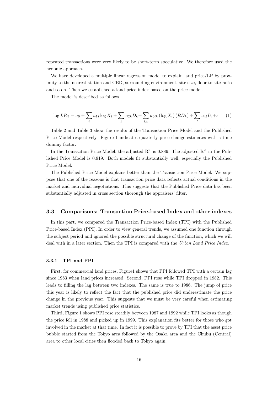repeated transactions were very likely to be short-term speculative. We therefore used the hedonic approach.

We have developed a multiple linear regression model to explain land price/LP by proximity to the nearest station and CBD, surrounding environment, site size, floor to site ratio and so on. Then we established a land price index based on the price model.

The model is described as follows.

$$
\log LP_{it} = a_0 + \sum_i a_{1i} \log X_i + \sum_k a_{2k} D_k + \sum_{i,k} a_{3ik} (\log X_i) (RD_k) + \sum_t a_{4t} D_t + \varepsilon \tag{1}
$$

Table 2 and Table 3 show the results of the Transaction Price Model and the Published Price Model respectively. Figure 1 indicates quarterly price change estimates with a time dummy factor.

In the Transaction Price Model, the adjusted  $\mathbb{R}^2$  is 0.889. The adjusted  $\mathbb{R}^2$  in the Published Price Model is 0.919. Both models fit substantially well, especially the Published Price Model.

The Published Price Model explains better than the Transaction Price Model. We suppose that one of the reasons is that transaction price data reflects actual conditions in the market and individual negotiations. This suggests that the Published Price data has been substantially adjusted in cross section thorough the appraisers' filter.

## **3.3 Comparisons: Transaction Price-based Index and other indexes**

In this part, we compared the Transaction Price-based Index (TPI) with the Published Price-based Index (PPI). In order to view general trends, we assumed one function through the subject period and ignored the possible structural change of the function, which we will deal with in a later section. Then the TPI is compared with the *Urban Land Price Index*.

### **3.3.1 TPI and PPI**

First, for commercial land prices, Figure1 shows that PPI followed TPI with a certain lag since 1983 when land prices increased. Second, PPI rose while TPI dropped in 1982. This leads to filling the lag between two indexes. The same is true to 1986. The jump of price this year is likely to reflect the fact that the published price did underestimate the price change in the previous year. This suggests that we must be very careful when estimating market trends using published price statistics.

Third, Figure 1 shows PPI rose steadily between 1987 and 1992 while TPI looks as though the price fell in 1988 and picked up in 1999. This explanation fits better for those who got involved in the market at that time. In fact it is possible to prove by TPI that the asset price bubble started from the Tokyo area followed by the Osaka area and the Chubu (Central) area to other local cities then flooded back to Tokyo again.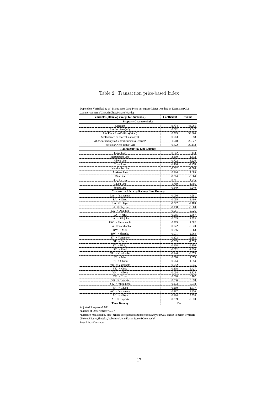| Variables(all in log except for dummies)        | Coefficient | t-value   |
|-------------------------------------------------|-------------|-----------|
| <b>Property Characteristics</b>                 |             |           |
| Constant                                        | 9.734       | 43.965    |
| LA:Lot Area $(m2)$                              | 0.092       | 11.047    |
| RW:Front Road Widths(10cm)                      | 0.303       | 38.960    |
| ST:Distance to nearest station(m)               | $-0.063$    | $-5.958$  |
| AC:Accessibility to Central Buisiness District* | $-1.040$    | $-20.627$ |
| YK:Floor Area Ratio/FAR                         | 0.822       | 29.143    |
| <b>Raiway/Subway Line Dummy</b>                 |             |           |
| Ginza Line                                      | $-0.642$    | $-2.173$  |
| Marunouchi Line                                 | $-3.110$    | $-1.312$  |
| Hibiya Line                                     | 0.722       | 3.226     |
| Tozai Line                                      | $-1.496$    | $-2.478$  |
| Yurakucho Line                                  | $-0.392$    | $-1.508$  |
| Asakusa Line                                    | 0.124       | 1.305     |
| Mita Line                                       | $-0.804$    | $-3.064$  |
| Shinjuku Line                                   | 0.201       | 1.715     |
| Chuou Line                                      | $-1.789$    | $-1.795$  |
| Soubu Line                                      | 0.149       | 5.240     |
| <b>Cross-term Effect by Railway Line Dummy</b>  |             |           |
| $LA \times Yamanote$                            | $-0.056$    | $-4.281$  |
| $LA \times Ginza$                               | $-0.035$    | $-2.480$  |
| $LA \times Hibiva$                              | $-0.027$    | $-2.189$  |
| $LA \times Chiyoda$                             | $-0.138$    | $-3.800$  |
| LA × Asakusa                                    | $-0.061$    | $-2.926$  |
| $LA \times Mita$                                | 0.055       | 2.367     |
| $LA \times Shinjuku$                            | 0.025       | 1.553     |
| RW × Murunouchi                                 | 0.815       | 1.682     |
| $RW \times Y$ urakucho                          | $-0.072$    | $-2.920$  |
| $RW \times Mita$                                | 0.096       | 2.663     |
| $RW \times$ Shinjuku                            | $-0.071$    | $-2.963$  |
| $ST \times Yamanote$                            | $-0.222$    | $-12.183$ |
| $ST \times Ginza$                               | $-0.035$    | $-1.539$  |
| $\times$ Hibiya<br>ST                           | $-0.108$    | $-6.350$  |
| $\times$ Tozai<br>ST                            | $-0.052$    | $-1.630$  |
| $ST \times Y$ urakucho                          | $-0.146$    | $-6.673$  |
| $ST \times Mita$                                | 0.060       | 1.675     |
| $\times$ Chuou<br>ST                            | 0.064       | 1.554     |
| $YK \times Y$ amanote                           | 0.092       | 2.345     |
| $YK \times$ Ginza                               | 0.208       | 5.427     |
| YK × Hibiya                                     | $-0.054$    | $-1.825$  |
| YK × Tozai                                      | 0.316       | 3.167     |
| $YK \times$ Chiyoda                             | 0.536       | 3.878     |
| $YK \times Y$ urakucho                          | 0.233       | 5.918     |
| $YK \times$ Chuou                               | 0.260       | 1.577     |
| AC<br>$\times$ Yamanote                         | 0.367       | 3.930     |
| $AC \times Hibiya$                              | 0.194       | 5.538     |
| $AC \times Chiyoda$                             | $-0.839$    | $-2.570$  |
| <b>Time Dummy</b>                               | Yes         |           |

## Table 2: Transaction price-based Index

Dependent Variable:Log of Transaction Land Price per square Meter .Method of Estimation:OLS Commercial Area(Chiyoda,Chuo,Minato Wards)

Adjusted R square=0.889

Number of Observations=6,577

\*Distance measured by time(minuites) required from nearest railway/subway station to major terminals (Tokyo,Shibuya,Shinjuku,Ikebukuro,Ueno,Kasumigaseki,Ootemachi)

Base Line=Yamanote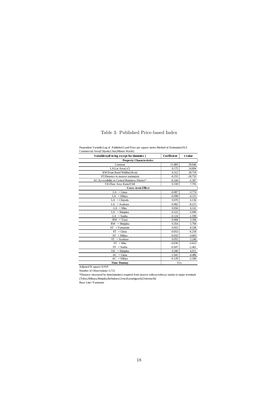## Table 3: Published Price-based Index

| Commercial Area (Chiyoda, Chuo, Minato Wards)   |             |           |
|-------------------------------------------------|-------------|-----------|
| Variables (all in log except for dummies)       | Coefficient | t-value   |
| <b>Property Characteristics</b>                 |             |           |
| Constant                                        | 11.883      | 29.046    |
| LA:Lot Area $(m2)$                              | 0.175       | 14.894    |
| RW:Front Road Widths(10cm)                      | 0.312       | 18.719    |
| ST:Distance to nearest station(m)               | $-0.255$    | $-18.733$ |
| AC:Accessibility to Central Buisiness District* | $-0.244$    | $-2.397$  |
| YK:Floor Area Ratio/FAR                         | 0.330       | 7.795     |
| Cross-term Effect                               |             |           |
| $LA \times Ginz2$                               | $-0.087$    | $-3.774$  |
| $LA \times Hibiya$                              | $-0.098$    | $-4.113$  |
| $LA \times Chivoda$                             | 0.070       | 6.136     |
| $LA \times Asakusa$                             | $-0.082$    | $-8.215$  |
| $LA \times Mita$                                | 0.056       | 4.141     |
| $LA \times Shiniuku$                            | $-0.522$    | $-5.090$  |
| $LA \times$ Soubu                               | $-0.124$    | $-1.599$  |
| $RW \times Tozai$                               | 0.068       | 3.106     |
| $\times$ Shinjuku<br>RW.                        | 0.354       | 5.794     |
| $ST \times Yamanote$                            | 0.055       | 8.338     |
| $\times$ Ginza<br>ST                            | $-0.053$    | $-6.218$  |
| $ST \times Hibiva$                              | $-0.032$    | $-3.603$  |
| $ST \times Asakusa$                             | 0.055       | 5.246     |
| $ST \times Mita$                                | $-0.036$    | $-2.623$  |
| $\times$ Soubu<br>ST                            | $-0.047$    | $-2.461$  |
| $\times$ Shinjuku<br>YΚ                         | 0.280       | 4.011     |
| $\times$ Ginza<br>AC                            | $-1.041$    | $-4.486$  |
| $AC \times Hibiya$                              | $-0.129$    | $-2.189$  |
| <b>Time Dummy</b>                               | Yes         |           |

Dependent Variable:Log of Published Land Price per square meter.Method of Estimation:OLS Commercial Area(Chiyoda,Chuo,Minato Wards)

Adjusted R square=0.919

Number of Observations=1,712

\*Distance measured by time(minuites) required from nearest railway/subway station to major terminals (Tokyo,Shibuya,Shinjuku,Ikebukuro,Ueno,Kasumigaseki,Ootemachi)

Base Line=Yamanote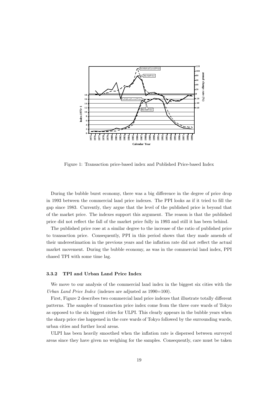

Figure 1: Transaction price-based index and Published Price-based Index

During the bubble burst economy, there was a big difference in the degree of price drop in 1993 between the commercial land price indexes. The PPI looks as if it tried to fill the gap since 1983. Currently, they argue that the level of the published price is beyond that of the market price. The indexes support this argument. The reason is that the published price did not reflect the fall of the market price fully in 1993 and still it has been behind.

The published price rose at a similar degree to the increase of the ratio of published price to transaction price. Consequently, PPI in this period shows that they made amends of their underestimation in the previous years and the inflation rate did not reflect the actual market movement. During the bubble economy, as was in the commercial land index, PPI chased TPI with some time lag.

## **3.3.2 TPI and Urban Land Price Index**

We move to our analysis of the commercial land index in the biggest six cities with the *Urban Land Price Index* (indexes are adjusted as  $1990=100$ ).

First, Figure 2 describes two commercial land price indexes that illustrate totally different patterns. The samples of transaction price index come from the three core wards of Tokyo as opposed to the six biggest cities for ULPI. This clearly appears in the bubble years when the sharp price rise happened in the core wards of Tokyo followed by the surrounding wards, urban cities and further local areas.

ULPI has been heavily smoothed when the inflation rate is dispersed between surveyed areas since they have given no weighing for the samples. Consequently, care must be taken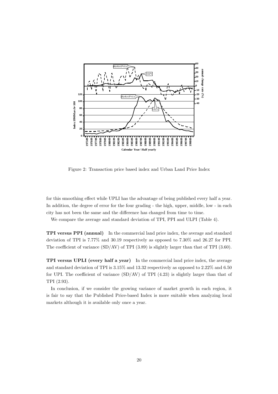

Figure 2: Transaction price based index and Urban Land Price Index

for this smoothing effect while UPLI has the advantage of being published every half a year. In addition, the degree of error for the four grading - the high, upper, middle, low - in each city has not been the same and the difference has changed from time to time.

We compare the average and standard deviation of TPI, PPI and ULPI (Table 4).

**TPI versus PPI (annual)** In the commercial land price index, the average and standard deviation of TPI is 7.77% and 30.19 respectively as opposed to 7.30% and 26.27 for PPI. The coefficient of variance (SD/AV) of TPI (3.89) is slightly larger than that of TPI (3.60).

**TPI versus UPLI (every half a year)** In the commercial land price index, the average and standard deviation of TPI is 3.15% and 13.32 respectively as opposed to 2.22% and 6.50 for UPI. The coefficient of variance  $(SD/AV)$  of TPI  $(4.23)$  is slightly larger than that of TPI (2.93).

In conclusion, if we consider the growing variance of market growth in each region, it is fair to say that the Published Price-based Index is more suitable when analyzing local markets although it is available only once a year.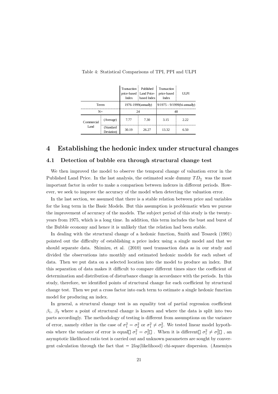|                                |                         | Transaction<br>price-based<br>Index | Published<br>Land Price-<br>based Index | Transaction<br>price-based<br>Index | UL PI |
|--------------------------------|-------------------------|-------------------------------------|-----------------------------------------|-------------------------------------|-------|
| Terrm                          |                         | 1976-1999(annually)                 |                                         | $9/1975 - 9/1999$ (bi-annually)     |       |
| $N =$                          | 24                      |                                     |                                         | 48                                  |       |
| Commercial<br>L <sub>and</sub> | (Average)               | 7.77                                | 7.30                                    | 3.15                                | 2.22  |
|                                | (Standard<br>Deviation) | 30.19                               | 26.27                                   | 13.32                               | 6.50  |

Table 4: Statistical Comparisons of TPI, PPI and ULPI

## **4 Establishing the hedonic index under structural changes**

### **4.1 Detection of bubble era through structural change test**

We then improved the model to observe the temporal change of valuation error in the Published Land Price. In the last analysis, the estimated scale dummy  $TD$  was the most important factor in order to make a comparison between indexes in different periods. However, we seek to improve the accuracy of the model when detecting the valuation error.

In the last section, we assumed that there is a stable relation between price and variables for the long term in the Basic Models. But this assumption is problematic when we pursue the improvement of accuracy of the models. The subject period of this study is the twentyyears from 1975, which is a long time. In addition, this term includes the bust and burst of the Bubble economy and hence it is unlikely that the relation had been stable.

In dealing with the structural change of a hedonic function, Smith and Tesarek (1991) pointed out the difficulty of establishing a price index using a single model and that we should separate data. Shimizu, et al. (2010) used transaction data as in our study and divided the observations into monthly and estimated hedonic models for each subset of data. Then we put data on a selected location into the model to produce an index. But this separation of data makes it difficult to compare different times since the coefficient of determination and distribution of disturbance change in accordance with the periods. In this study, therefore, we identified points of structural change for each coefficient by structural change test. Then we put a cross factor into each term to estimate a single hedonic function model for producing an index.

In general, a structural change test is an equality test of partial regression coefficient  $\beta_1$ ,  $\beta_2$  where a point of structural change is known and where the data is split into two parts accordingly. The methodology of testing is different from assumptions on the variance of error, namely either in the case of  $\sigma_1^2 = \sigma_2^2$  or  $\sigma_1^2 \neq \sigma_2^2$ . We tested linear model hypothesis where the variance of error is equal  $\sigma_1^2 = \sigma_2^2$ . When it is different  $\sigma_1^2 \neq \sigma_2^2$ , an asymptotic likelihood ratio test is carried out and unknown parameters are sought by convergent calculation through the fact that 2*log*(likelihood) chi-square dispersion. (Amemiya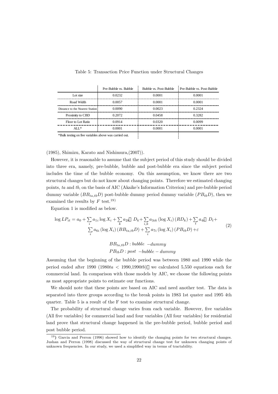|                                                        | Pre-Bubble vs. Bubble | Bubble vs. Post-Bubble | Pre-Bubble vs. Post-Bubble |
|--------------------------------------------------------|-----------------------|------------------------|----------------------------|
| Lot size                                               | 0.0232                | 0.0001                 | 0.0001                     |
| Road Width                                             | 0.0057                | 0.0001                 | 0.0001                     |
| Distance to the Nearest Station                        | 0.0090                | 0.0023                 | 0.2324                     |
| Proximity to CBD                                       | 0.2072                | 0.0458                 | 0.3282                     |
| <b>Floor to Lot Ratio</b>                              | 0.0914                | 0.0320                 | 0.0099                     |
| ALL $*$                                                | 0.0001                | 0.0001                 | 0.0001                     |
| *Bulk testing on five variables above was carried out. |                       |                        |                            |

Table 5: Transaction Price Function under Structural Changes

(1985), Shimizu, Karato and Nishimura,(2007)).

However, it is reasonable to assume that the subject period of this study should be divided into three era, namely, pre-bubble, bubble and post-bubble era since the subject period includes the time of the bubble economy. On this assumption, we know there are two structural changes but do not know about changing points. Therefore we estimated changing points, *ta* and *tb*, on the basis of AIC (Akaike's Information Criterion) and pre-bubble period dummy variable  $(BB_{ta,tb}D)$  post-bubble dummy period dummy variable  $(PB_{tb}D)$ , then we examined the results by  $F$  test.<sup>19)</sup>

Equation 1 is modified as below.

$$
\log LP_{it} = a_0 + \sum_{i} a_{1i} \log X_i + \sum_{k} a_{2k} D_k + \sum_{i,k} a_{3ik} (\log X_i) (RD_k) + \sum_{t} a_{4t} D_t + \sum_{i} a_{6i} (\log X_i) (BB_{ta,tb}D) + \sum_{i} a_{7i} (\log X_i) (PB_{tb}D) + \varepsilon
$$
\n(2)

*BBta,tbD* : *bubble −dummy P BtbD* : *post −bubble − dummy*

Assuming that the beginning of the bubble period was between 1980 and 1990 while the period ended after 1990 (1980*ta <* 1990,1990*tb*) we calculated 5,550 equations each for commercial land. In comparison with those models by AIC, we choose the following points as most appropriate points to estimate our functions.

We should note that these points are based on AIC and need another test. The data is separated into three groups according to the break points in 1983 1st quater and 1995 4th quarter. Table 5 is a result of the F test to examine structural change.

The probability of structural change varies from each variable. However, five variables (All five variables) for commercial land and four variables (All four variables) for residential land prove that structural change happened in the pre-bubble period, bubble period and post bubble period.

<sup>&</sup>lt;sup>19</sup>) Garcia and Perron (1996) showed how to identify the changing points for two structural changes. Jushan and Perron (1998) discussed the way of structural change test for unknown changing points of unknown frequencies. In our study, we used a simplified way in terms of tractability.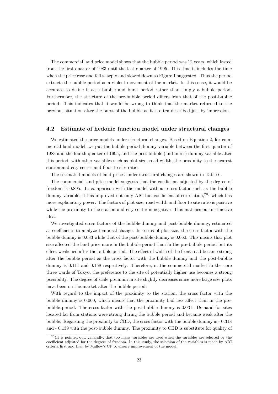The commercial land price model shows that the bubble period was 12 years, which lasted from the first quarter of 1983 until the last quarter of 1995. This time it includes the time when the price rose and fell sharply and slowed down as Figure 1 suggested. Thus the period extracts the bubble period as a violent movement of the market. In this sense, it would be accurate to define it as a bubble and burst period rather than simply a bubble period. Furthermore, the structure of the pre-bubble period differs from that of the post-bubble period. This indicates that it would be wrong to think that the market returned to the previous situation after the burst of the bubble as it is often described just by impression.

## **4.2 Estimate of hedonic function model under structural changes**

We estimated the price models under structural changes. Based on Equation 2, for commercial land model, we put the bubble period dummy variable between the first quarter of 1983 and the fourth quarter of 1995, and the post-bubble (and burst) dummy variable after this period, with other variables such as plot size, road width, the proximity to the nearest station and city center and floor to site ratio.

The estimated models of land prices under structural changes are shown in Table 6.

The commercial land price model suggests that the coefficient adjusted by the degree of freedom is 0.895. In comparison with the model without cross factor such as the bubble dummy variable, it has improved not only AIC but coefficient of correlation,<sup>20)</sup> which has more explanatory power. The factors of plot size, road width and floor to site ratio is positive while the proximity to the station and city center is negative. This matches our instinctive idea.

We investigated cross factors of the bubble-dummy and post-bubble dummy, estimated as coefficients to analyze temporal change. In terms of plot size, the cross factor with the bubble dummy is 0.083 while that of the post-bubble dummy is 0.060. This means that plot size affected the land price more in the bubble period than in the pre-bubble period but its effect weakened after the bubble period. The effect of width of the front road became strong after the bubble period as the cross factor with the bubble dummy and the post-bubble dummy is 0.111 and 0.158 respectively. Therefore, in the commercial market in the core three wards of Tokyo, the preference to the site of potentially higher use becomes a strong possibility. The degree of scale premium in site slightly decreases since more large size plots have been on the market after the bubble period.

With regard to the impact of the proximity to the station, the cross factor with the bubble dummy is 0.060, which means that the proximity had less affect than in the prebubble period. The cross factor with the post-bubble dummy is 0.031. Demand for sites located far from stations were strong during the bubble period and became weak after the bubble. Regarding the proximity to CBD, the cross factor with the bubble dummy is - 0.318 and - 0.139 with the post-bubble dummy. The proximity to CBD is substitute for quality of

 $^{20}$ It is pointed out, generally, that too many variables are used when the variables are selected by the coefficient adjusted for the degrees of freedom. In this study, the selection of the variables is made by AIC criteria first and then by Mallow's CP to ensure improvement of the model.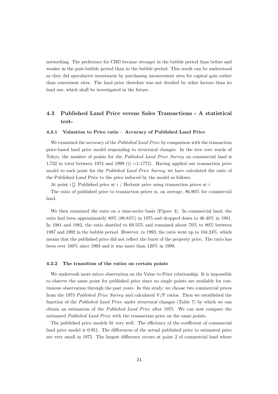networking. The preference for CBD became stronger in the bubble period than before and weaker in the post-bubble period than in the bubble period. This result can be understood as they did speculative investment by purchasing inconvenient sites for capital gain rather than convenient sites. The land price therefore was not decided by other factors than its land use, which shall be investigated in the future.

## **4.3 Published Land Price versus Sales Transactions - A statistical test-**

#### **4.3.1 Valuation to Price ratio – Accuracy of Published Land Price**

We examined the accuracy of the *Published Land Price* by comparison with the transaction price-based land price model responding to structural changes. In the tree core wards of Tokyo, the number of points for the *Published Land Price Survey* on commercial land is 1,722 in total between 1974 and 1999 ( $(i = 1-1772)$ ). Having applied our transaction price model to each point for the *Published Land Price Survey*, we have calculated the ratio of the Published Land Price to the price induced by the model as follows.

At point *i* Published price at *i* / Hedonic price using transaction prices at *i*

The ratio of published price to transaction prices is, on average, 86.96% for commercial land.

We then examined the ratio on a time-series basis (Figure 3). In commercial land, the ratio had been approximately 80% (80.84%) in 1975 and dropped down to 46.40% in 1981. In 1981 and 1982, the ratio shuttled to 69.55% and remained about 70% to 80% between 1987 and 1992 in the bubble period. However, in 1993, the ratio went up to 104.24%, which means that the published price did not reflect the burst of the property price. The ratio has been over 100% since 1993 and it was more than 120% in 1999.

#### **4.3.2 The transition of the ratios on certain points**

We undertook more micro observation on the Value to Price relationship. It is impossible to observe the same point for published price since no single points are available for continuous observation through the past years. In this study, we choose two commercial prices from the 1975 *Published Price Survey* and calculated V/P ratios. Then we established the function of the *Published Land Price* under structural changes (Table 7) by which we can obtain an estimation of the *Published Land Price* after 1975. We can now compare the estimated *Published Land Price* with the transaction price on the same points.

The published price models fit very well. The efficiency of the coefficient of commercial land price model is 0.951. The differences of the actual published price to estimated price are very small in 1975. The largest difference occurs at point 2 of commercial land where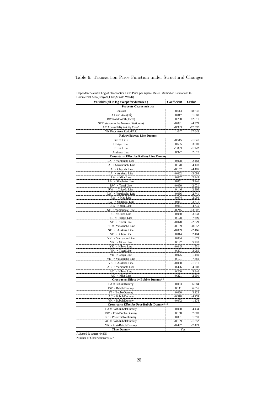| Commercial Area(Chiyoda,Chuo,Minato Wards)        |                      |                      |
|---------------------------------------------------|----------------------|----------------------|
| Variables(all in log except for dummies)          | Coefficient          | t-value              |
| <b>Property Characteristics</b>                   |                      |                      |
| Constant                                          | 8.613                | 18.631               |
| LA:Land Area $(m2)$                               | 0.017                | 1.600                |
| RW:Road Width(10cm)                               | 0.208                | 12.611               |
| ST:Distance to the Nearest Station(m)             | $-0.081$             | $-4.379$             |
| AC: Accessibility to City Core*                   | $-0.983$             | $-17.597$            |
| YK:Floor Area Ratio/FAR                           | 1.047                | 17.643               |
| Raiway/Subway Line Dummy                          |                      |                      |
| Ginza Line                                        | $-0.515$             | $-1.841$             |
| Hibiya Line                                       | 0.635                | 3.000                |
| Tozai Line                                        | $-1.033$             | $-1.742$             |
| Asakusa Line                                      | 0.927                | 2.617                |
| <b>Cross-term Effect by Railway Line Dummy</b>    |                      |                      |
| $LA \times Yamanote$ Line                         | $-0.028$             | $-2.483$             |
| LA × Marunouchi Line                              | 0.170                | 4.178                |
| $LA \times Chiyoda$ Line                          | $-0.152$             | $-4.405$             |
| LA × Asakusa Line                                 | $-0.062$             | $-3.084$             |
| $LA \times Mita$ Line                             | 0.067                | 2.943                |
| $LA \times$ Shinjhuku Line                        | 0.051                | 3.746                |
| $RW \times Tozai$ Line                            | $-0.060$             | $-2.021$             |
| RW × Chiyoda Line                                 | 0.146                | 2.366                |
| $RW \times Y$ urakucho Line                       | $-0.066$             | $-2.741$             |
| $RW \times$ Mita Line                             | 0.074                | 2.091                |
| $RW \times$ Shinjhuku Line                        | $-0.051$             | $-3.711$             |
| $RW \times$ Sobu Line                             | 0.031                | 4.715                |
| $ST \times Y$ amannote Line                       | $-0.245$             | $-13.607$            |
| $ST \times Ginza$ Line                            | $-0.080$             | $-3.533$             |
| $ST \times$ Hibiya Line<br>$ST \times$ Tozai Line | $-0.128$<br>$-0.078$ | $-7.696$             |
| $ST \times Y$ urakucho Line                       | $-0.159$             | $-2.529$<br>$-8.852$ |
| $ST \times$ Asakusa Line                          | $-0.069$             | $-2.466$             |
| $ST \times$ Chuo Line                             | 0.014                | 2.404                |
| $YK \times Y$ amanote Line                        | 0.064                | 1.673                |
| $YK \times$ Ginza Line                            | 0.197                | 5.220                |
| YK × Hibiya Line                                  | $-0.045$             | -1.531               |
| $YK \times Tozai$ Line                            | 0.301                | 3.065                |
| $YK \times$ Chiyo Line                            | 0.075                | 1.459                |
| $YK \times Y$ urakucho Line                       | 0.171                | 7.881                |
| $YK \times$ Asakusa Line                          | $-0.080$             | $-1.711$             |
| $AC \times Y$ amanote Line                        | 0.426                | 4.708                |
| $AC \times Hibiya$ Line                           | 0.200                | 5.846                |
| $AC \times$ Mita Line                             | $-0.221$             | $-2.901$             |
| Cross-term Effect by Bubble Dummy**               |                      |                      |
| $LA \times BubbleDummy$                           | 0.083                | 6.884                |
| $RW \times BubbleDummy$                           | 0.111                | 6.016                |
| $ST \times B$ ubbleDummy                          | 0.060                | 3.123                |
| $AC \times BubbleDummy$                           | $-0.318$             | -4.174               |
| $YK \times B$ ubbleDummy                          | $-0.072$             | $-1.174$             |
| Cross-term Effect by Post-Bubble Dummy***         |                      |                      |
| $LA \times Post-BubbleDummy$                      | 0.060                | 4.434                |
| $RW \times Post-BubbleDummy$                      | 0.158                | 7.009                |
| $ST \times Post-BubbleDummy$                      | 0.031                | 1.391                |
| $AC \times Post-BubbleDummy$                      | $-0.139$             | $-1.552$             |
| $YK \times Post-BubbleDummy$                      | $-0.487$             | $-7.429$             |
| <b>Time Dummy</b>                                 | Yes                  |                      |

## Table 6: Transaction Price Function under Structural Changes

Adjusted R square=0.895

Number of Observations=6,577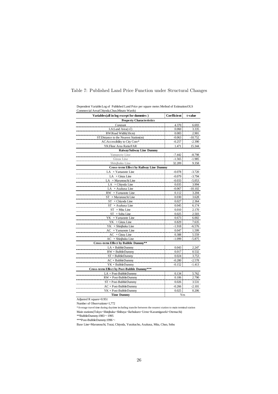| Variables (all in log except for dummies) | Coefficient | t-value   |
|-------------------------------------------|-------------|-----------|
| <b>Property Characteristics</b>           |             |           |
| Constant                                  | 4.370       | 6.693     |
| LA:Land Area $(m2)$                       | 0.060       | 3.335     |
| RW:Road Width(10cm)                       | 0.083       | 2.901     |
| ST:Distance to the Nearest Station(m)     | $-0.063$    | $-10.752$ |
| AC:Accessibility to City Core*            | $-0.257$    | $-2.390$  |
| YK:Floor Area Ratio/FAR                   | 1.471       | 15.344    |
| Raiway/Subway Line Dummy                  |             |           |
| Yamanote Line                             | $-7.442$    | $-8.798$  |
| Ginza Line                                | $-1.565$    | $-1.985$  |
| Shinjhuku Line                            | 32.209      | 9.358     |
| Cross-term Effect by Railway Line Dummy   |             |           |
| $LA \times Yamanote$ Line                 | $-0.078$    | $-3.720$  |
| $LA \times$ Ginza Line                    | $-0.079$    | $-3.794$  |
| $LA \times \text{Marunouchi Line}$        | $-0.033$    | $-5.053$  |
| $LA \times Chiyoda$ Line                  | 0.035       | 3.994     |
| LA × Asakusa Line                         | $-0.067$    | -10.102   |
| $RW \times Yam$ anote Line                | 0.112       | 3.204     |
| $ST \times$ Marunouchi Line               | 0.030       | 3.628     |
| $ST \times$ Chiyoda Line                  | 0.027       | 2.364     |
| $ST \times$ Asakusa Line                  | 0.045       | 6.174     |
| $ST \times$ Mita Line                     | 0.010       | 2.170     |
| $\times$ Sobu Line<br>ST                  | 0.025       | 2.503     |
| $YK \times Y$ amanote Line                | 0.673       | 6.002     |
| $YK \times$ Ginza Line                    | 0.829       | 7.635     |
| $YK \times$ Shinjhuku Line                | -1.918      | -6.576    |
| $AC \times Yamanote$ Line                 | 0.047       | 1.599     |
| $AC \times$ Ginza Line                    | 0.388       | 5.559     |
| $AC \times$ Shinjhuku Line                | $-1.099$    | $-5.875$  |
| Cross-term Effect by Bubble Dummy**       |             |           |
| $LA \times BubbleDummy$                   | 0.043       | 2.247     |
| $RW \times BubbleDummy$                   | 0.017       | 0.532     |
| $ST \times B$ ubbleDummy                  | 0.024       | 3.753     |
| $AC \times BubbleDummy$                   | $-0.280$    | $-2.578$  |
| $YK \times BubbleDummy$                   | $-0.152$    | $-1.413$  |
| Cross-term Effect by Post-Bubble Dummy*** |             |           |
| $LA \times Post-BubbleDummy$              | 0.134       | 5.762     |
| $RW \times Post-BubbleDummy$              | 0.106       | 2.790     |
| $ST \times Post-BubbleDummy$              | 0.026       | 3.531     |
| $AC \times Post-BubbleDummy$              | $-0.266$    | $-2.101$  |
| $YK \times Post-BubbleDummy$              | 0.025       | 0.206     |
| <b>Time Dummy</b>                         | Yes         |           |

## Table 7: Published Land Price Function under Structural Changes

Dependent Variable:Log of Published Land Price per square meter.Method of Estimation:OLS Commercial Area(Chiyoda,Chuo,Minato Wards)

Adjusted R square=0.951

Number of Observations=1,772

\* A verage travel time during daytime including transfer between the nearest station to main terminal station Main stations(Tokyo・Shinjhuku・Shibuya・Ikebukuro・Ueno・Kasumigaseki・Otemachi)

 $*$ \*BubbleDummy:1983 $\sim$ 1995

\*\*\*Post-BubbleDummy:1996~

Base Line=Marunouchi, Tozai, Chiyoda, Yurakucho, Asakusa, Mita, Chuo, Sobu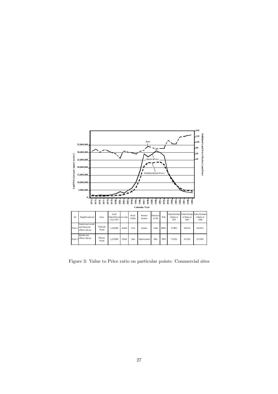

Figure 3: Value to Price ratio on particular points: Commercial sites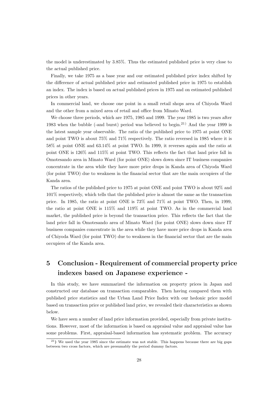the model is underestimated by 3.85%. Thus the estimated published price is very close to the actual published price.

Finally, we take 1975 as a base year and our estimated published price index shifted by the difference of actual published price and estimated published price in 1975 to establish an index. The index is based on actual published prices in 1975 and on estimated published prices in other years.

In commercial land, we choose one point in a small retail shops area of Chiyoda Ward and the other from a mixed area of retail and office from Minato Ward.

We choose three periods, which are 1975, 1985 and 1999. The year 1985 is two years after 1983 when the bubble (-and burst) period was believed to begin.<sup>21)</sup> And the year 1999 is the latest sample year observable. The ratio of the published price to 1975 at point ONE and point TWO is about 75% and 71% respectively. The ratio reversed in 1985 where it is 58% at point ONE and 63.14% at point TWO. In 1999, it reverses again and the ratio at point ONE is 126% and 115% at point TWO. This reflects the fact that land price fall in Omotesando area in Minato Ward (for point ONE) slows down since IT business companies concentrate in the area while they have more price drops in Kanda area of Chiyoda Ward (for point TWO) due to weakness in the financial sector that are the main occupiers of the Kanda area.

The ratios of the published price to 1975 at point ONE and point TWO is about 92% and 101% respectively, which tells that the published price is almost the same as the transaction price. In 1985, the ratio at point ONE is 73% and 71% at point TWO. Then, in 1999, the ratio at point ONE is 115% and 119% at point TWO. As in the commercial land market, the published price is beyond the transaction price. This reflects the fact that the land price fall in Omotesando area of Minato Ward (for point ONE) slows down since IT business companies concentrate in the area while they have more price drops in Kanda area of Chiyoda Ward (for point TWO) due to weakness in the financial sector that are the main occupiers of the Kanda area.

## **5 Conclusion - Requirement of commercial property price indexes based on Japanese experience -**

In this study, we have summarized the information on property prices in Japan and constructed our database on transaction comparables. Then having compared them with published price statistics and the Urban Land Price Index with our hedonic price model based on transaction price or published land price, we revealed their characteristics as shown below.

We have seen a number of land price information provided, especially from private institutions. However, most of the information is based on appraisal value and appraisal value has some problems. First, appraisal-based information has systematic problem. The accuracy

<sup>21</sup>**)** We used the year 1985 since the estimate was not stable. This happens because there are big gaps between two cross factors, which are presumably the period dummy factors.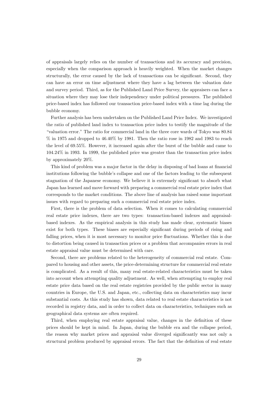of appraisals largely relies on the number of transactions and its accuracy and precision, especially when the comparison approach is heavily weighted. When the market changes structurally, the error caused by the lack of transactions can be significant. Second, they can have an error on time adjustment where they have a lag between the valuation date and survey period. Third, as for the Published Land Price Survey, the appraisers can face a situation where they may lose their independency under political pressures. The published price-based index has followed our transaction price-based index with a time lag during the bubble economy.

Further analysis has been undertaken on the Published Land Price Index. We investigated the ratio of published land index to transaction price index to testify the magnitude of the "valuation error." The ratio for commercial land in the three core wards of Tokyo was 80.84  $\%$  in 1975 and dropped to 46.40% by 1981. Then the ratio rose in 1982 and 1983 to reach the level of 69.55%. However, it increased again after the burst of the bubble and came to 104.24% in 1993. In 1999, the published price was greater than the transaction price index by approximately 20%.

This kind of problem was a major factor in the delay in disposing of bad loans at financial institutions following the bubble's collapse and one of the factors leading to the subsequent stagnation of the Japanese economy. We believe it is extremely significant to absorb what Japan has learned and move forward with preparing a commercial real estate price index that corresponds to the market conditions. The above line of analysis has raised some important issues with regard to preparing such a commercial real estate price index.

First, there is the problem of data selection. When it comes to calculating commercial real estate price indexes, there are two types: transaction-based indexes and appraisalbased indexes. As the empirical analysis in this study has made clear, systematic biases exist for both types. These biases are especially significant during periods of rising and falling prices, when it is most necessary to monitor price fluctuations. Whether this is due to distortion being caused in transaction prices or a problem that accompanies errors in real estate appraisal value must be determined with care.

Second, there are problems related to the heterogeneity of commercial real estate. Compared to housing and other assets, the price-determining structure for commercial real estate is complicated. As a result of this, many real estate-related characteristics must be taken into account when attempting quality adjustment. As well, when attempting to employ real estate price data based on the real estate registries provided by the public sector in many countries in Europe, the U.S. and Japan, etc., collecting data on characteristics may incur substantial costs. As this study has shown, data related to real estate characteristics is not recorded in registry data, and in order to collect data on characteristics, techniques such as geographical data systems are often required.

Third, when employing real estate appraisal value, changes in the definition of these prices should be kept in mind. In Japan, during the bubble era and the collapse period, the reason why market prices and appraisal value diverged significantly was not only a structural problem produced by appraisal errors. The fact that the definition of real estate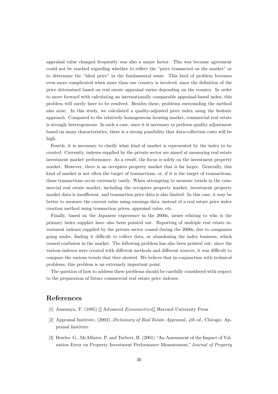appraisal value changed frequently was also a major factor. This was because agreement could not be reached regarding whether to reflect the "price transacted on the market" or to determine the "ideal price" in the fundamental sense. This kind of problem becomes even more complicated when more than one country is involved, since the definition of the price determined based on real estate appraisal varies depending on the country. In order to move forward with calculating an internationally comparable appraisal-based index, this problem will surely have to be resolved. Besides these, problems surrounding the method also arise. In this study, we calculated a quality-adjusted price index using the hedonic approach. Compared to the relatively homogeneous housing market, commercial real estate is strongly heterogeneous. In such a case, since it is necessary to perform quality adjustment based on many characteristics, there is a strong possibility that data-collection costs will be high.

Fourth, it is necessary to clarify what kind of market is represented by the index to be created. Currently, indexes supplied by the private sector are aimed at measuring real estate investment market performance. As a result, the focus is solely on the investment property market. However, there is an occupiers property market that is far larger. Generally, this kind of market is not often the target of transactions, or, if it is the target of transactions, these transactions occur extremely rarely. When attempting to measure trends in the commercial real estate market, including the occupiers property market, investment property market data is insufficient, and transaction price data is also limited. In this case, it may be better to measure the current value using earnings data, instead of a real estate price index creation method using transaction prices, appraisal value, etc.

Finally, based on the Japanese experience in the 2000s, issues relating to who is the primary index supplier have also been pointed out. Reporting of multiple real estate investment indexes supplied by the private sector ceased during the 2000s, due to companies going under, finding it difficult to collect data, or abandoning the index business, which caused confusion in the market. The following problem has also been pointed out: since the various indexes were created with different methods and different sources, it was difficult to compare the various trends that they showed. We believe that in conjunction with technical problems, this problem is an extremely important point.

The question of how to address these problems should be carefully considered with respect to the preparation of future commercial real estate price indexes.

## **References**

- [1] Amemiya, T. (1985) Advanced *Econometrics* Harvard University Press
- [2] Appraisal Institute, (2002).,*Dictionary of Real Estate Appraisal, 4th ed*., Chicago: Appraisal Institute
- [3] Bowles. G., McAllister, P. and Tarbert, H. (2001) "An Assessment of the Impact of Valuation Error on Property Investment Performance Measurement,"*Journal of Property*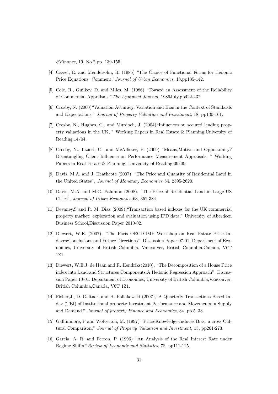*&Finance*, 19, No.2,pp. 139-155.

- [4] Cassel, E. and Mendelsohn, R. (1985) "The Choice of Functional Forms for Hedonic Price Equations: Comment,"*Journal of Urban Economics*, 18,pp135-142.
- [5] Cole, R., Guilkey, D. and Miles, M. (1986) "Toward an Assessment of the Reliability of Commercial Appraisals,"*The Appraisal Journal*, 1986July,pp422-432.
- [6] Crosby, N. (2000)"Valuation Accuracy, Variation and Bias in the Context of Standards and Expectations," *Journal of Property Valuation and Investment,* 18, pp130-161.
- [7] Crosby, N., Hughes, C., and Murdoch, J. (2004) "Influences on secured lending property valuations in the UK, " Working Papers in Real Estate & Planning,University of Reading.14/04.
- [8] Crosby, N., Lizieri, C., and McAllister, P. (2009) "Means,Motive and Opportunity? Disentangling Client Influence on Performance Measurement Appraisals, " Working Papers in Real Estate & Planning, University of Reading.09/09.
- [9] Davis, M.A. and J. Heathcote (2007), "The Price and Quantity of Residential Land in the United States", *Journal of Monetary Economics* 54. 2595-2620.
- [10] Davis, M.A. and M.G. Palumbo (2008), "The Price of Residential Land in Large US Cities", *Journal of Urban Economics* 63, 352-384.
- [11] Devaney, S and R. M. Diaz (2009), "Transaction based indexes for the UK commercial property market: exploration and evaluation using IPD data," University of Aberdeen Business School,Discussion Paper 2010-02.
- [12] Diewert, W.E. (2007), "The Paris OECD-IMF Workshop on Real Estate Price Indexes:Conclusions and Future Directions", Discussion Paper 07-01, Department of Economics, University of British Columbia, Vancouver, British Columbia,Canada, V6T 1Z1.
- [13] Diewert, W.E.J. de Haan and R. Hendriks(2010), "The Decomposition of a House Price index into Land and Structures Components:A Hedonic Regression Approach", Discussion Paper 10-01, Department of Economics, University of British Columbia,Vancouver, British Columbia,Canada, V6T 1Z1.
- [14] Fisher,J., D. Geltner, and H. Pollakowski (2007),"A Quarterly Transactions-Based Index (TBI) of Institutional property Investment Performance and Movements in Supply and Demand," *Journal of property Finance and Economics*, 34, pp.5–33.
- [15] Gallimmore, P and Wolverton, M. (1997) "Price-Knowledge-Induces Bias: a cross Cultural Comparison," *Journal of Property Valuation and Investment,* 15, pp261-273.
- [16] Garcia, A. R. and Perron, P. (1996) "An Analysis of the Real Interest Rate under Regime Shifts,"*Review of Economic and Statistics*, 78, pp111-125.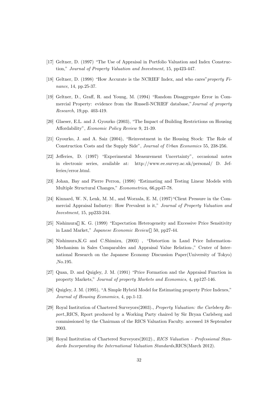- [17] Geltner, D. (1997) "The Use of Appraisal in Portfolio Valuation and Index Construction," *Journal of Property Valuation and Investment,* 15, pp423-447.
- [18] Geltner, D. (1998) "How Accurate is the NCRIEF Index, and who cares"*property Finance*, 14, pp.25-37.
- [19] Geltner, D., Graff, R. and Young, M. (1994) "Random Disaggregate Error in Commercial Property: evidence from the Russell-NCRIEF database,"*Journal of property Research,* 19,pp. 403-419.
- [20] Glaeser, E.L. and J. Gyourko (2003), "The Impact of Building Restrictions on Housing Affordability", *Economic Policy Review* 9, 21-39.
- [21] Gyourko, J. and A. Saiz (2004), "Reinvestment in the Housing Stock: The Role of Construction Costs and the Supply Side", *Journal of Urban Economics* 55, 238-256.
- [22] Jefferies, D. (1997) "Experimental Measurement Uncertainty", occasional notes in electronic series, available at: http://www.ee.survey.ac.uk/personal/ D. Jefferies/error.html.
- [23] Johan, Bay and Pierre Perron, (1998) "Estimating and Testing Linear Models with Multiple Structural Changes," *Econometrica*, 66,pp47-78.
- [24] Kinnard, W. N, Lenk, M. M., and Worzala, E. M, (1997) "Client Pressure in the Commercial Appraisal Industry: How Prevalent is it," *Journal of Property Valuation and Investment,* 15, pp233-244.
- [25] Nishimura K. G. (1999) "Expectation Heterogeneity and Excessive Price Sensitivity in Land Market," *Japanese Economic Review* 50, pp27-44.
- [26] Nishimura,K.G and C.Shimizu, (2003) , "Distortion in Land Price Information-Mechanism in Sales Comparables and Appraisal Value Relation-," Center of International Research on the Japanese Economy Discussion Paper(University of Tokyo) ,No.195.
- [27] Quan, D. and Quigley, J. M. (1991) "Price Formation and the Appraisal Function in property Markets," *Journal of property Markets and Economics*, 4, pp127-146.
- [28] Quigley, J. M. (1995), "A Simple Hybrid Model for Estimating property Price Indexes," *Journal of Housing Economics*, 4, pp.1-12.
- [29] Royal Institution of Chartered Surveyors(2003)., *Property Valuation: the Carlsberg Report*.,RICS, Rport produced by a Working Party chaired by Sir Bryan Carlsberg and commissioned by the Chairman of the RICS Valuation Faculty. accessed 18 September 2003.
- [30] Royal Institution of Chartered Surveyors(2012)., *RICS Valuation Professional Standards Incorporating the International Valuation Standards*,RICS(March 2012).